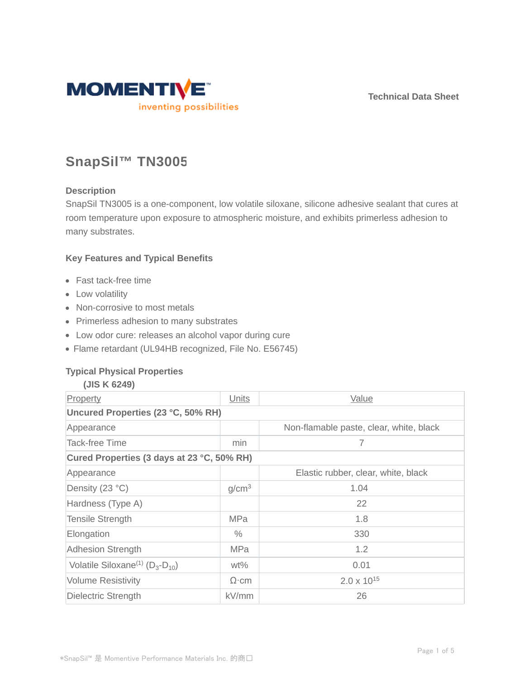**Technical Data Sheet**



# **SnapSil™ TN3005**

# **Description**

SnapSil TN3005 is a one-component, low volatile siloxane, silicone adhesive sealant that cures at room temperature upon exposure to atmospheric moisture, and exhibits primerless adhesion to many substrates.

# **Key Features and Typical Benefits**

- Fast tack-free time
- Low volatility
- Non-corrosive to most metals
- Primerless adhesion to many substrates
- Low odor cure: releases an alcohol vapor during cure
- Flame retardant (UL94HB recognized, File No. E56745)

# **Typical Physical Properties**

| (JIS K 6249)                                          |                   |                                         |  |  |  |
|-------------------------------------------------------|-------------------|-----------------------------------------|--|--|--|
| Property                                              | Units             | Value                                   |  |  |  |
| Uncured Properties (23 °C, 50% RH)                    |                   |                                         |  |  |  |
| Appearance                                            |                   | Non-flamable paste, clear, white, black |  |  |  |
| <b>Tack-free Time</b>                                 | min               | 7                                       |  |  |  |
| Cured Properties (3 days at 23 °C, 50% RH)            |                   |                                         |  |  |  |
| Appearance                                            |                   | Elastic rubber, clear, white, black     |  |  |  |
| Density (23 °C)                                       | g/cm <sup>3</sup> | 1.04                                    |  |  |  |
| Hardness (Type A)                                     |                   | 22                                      |  |  |  |
| <b>Tensile Strength</b>                               | <b>MPa</b>        | 1.8                                     |  |  |  |
| Elongation                                            | $\%$              | 330                                     |  |  |  |
| <b>Adhesion Strength</b>                              | <b>MPa</b>        | 1.2                                     |  |  |  |
| Volatile Siloxane <sup>(1)</sup> ( $D_3$ - $D_{10}$ ) | $wt\%$            | 0.01                                    |  |  |  |
| <b>Volume Resistivity</b>                             | $\Omega$ ·cm      | $2.0 \times 10^{15}$                    |  |  |  |
| Dielectric Strength                                   | kV/mm             | 26                                      |  |  |  |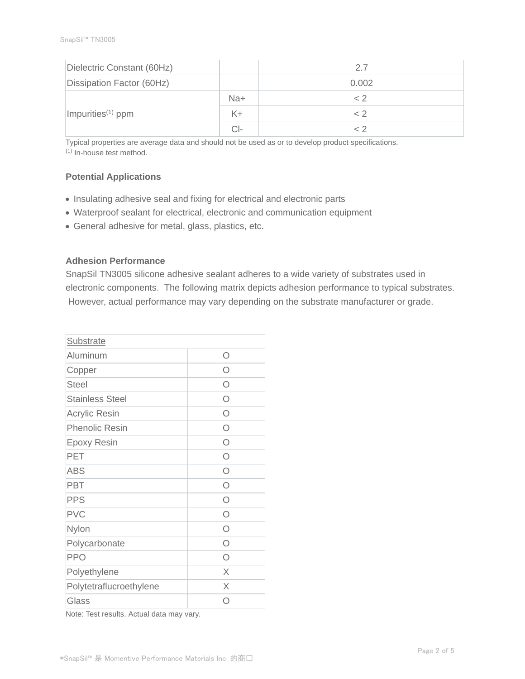| Dielectric Constant (60Hz)    |       | 2.7   |
|-------------------------------|-------|-------|
| Dissipation Factor (60Hz)     |       | 0.002 |
| Impurities <sup>(1)</sup> ppm | Na+   | < 2   |
|                               | $K +$ | ~ 2   |
|                               | CI-   |       |

Typical properties are average data and should not be used as or to develop product specifications. (1) In-house test method.

# **Potential Applications**

- Insulating adhesive seal and fixing for electrical and electronic parts
- Waterproof sealant for electrical, electronic and communication equipment
- General adhesive for metal, glass, plastics, etc.

# **Adhesion Performance**

SnapSil TN3005 silicone adhesive sealant adheres to a wide variety of substrates used in electronic components. The following matrix depicts adhesion performance to typical substrates. However, actual performance may vary depending on the substrate manufacturer or grade.

| Substrate               |            |
|-------------------------|------------|
| Aluminum                | Ω          |
| Copper                  | ∩          |
| <b>Steel</b>            | ∩          |
| <b>Stainless Steel</b>  | Ω          |
| <b>Acrylic Resin</b>    | Ω          |
| <b>Phenolic Resin</b>   | Ω          |
| <b>Epoxy Resin</b>      | O          |
| PET                     | $\bigcap$  |
| <b>ABS</b>              | $\bigcirc$ |
| PBT                     | $\bigcirc$ |
| <b>PPS</b>              | $\bigcirc$ |
| <b>PVC</b>              | $\bigcap$  |
| Nylon                   | $\bigcap$  |
| Polycarbonate           | Ω          |
| <b>PPO</b>              | ∩          |
| Polyethylene            | $\times$   |
| Polytetraflucroethylene | X          |
| Glass                   | ( )        |

Note: Test results. Actual data may vary.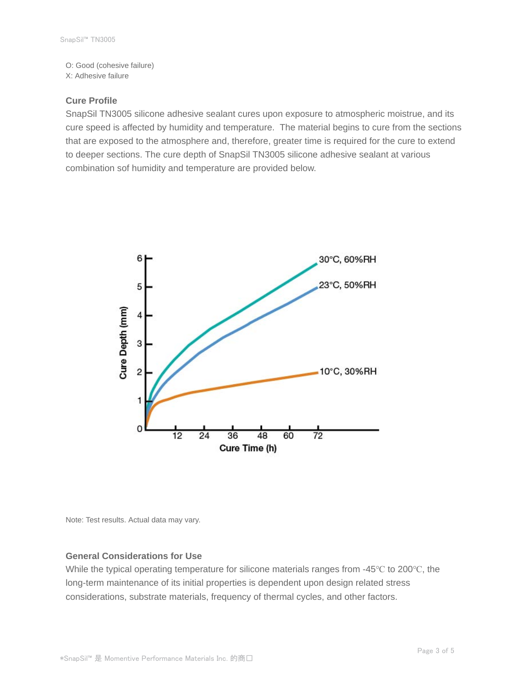O: Good (cohesive failure) X: Adhesive failure

### **Cure Profile**

SnapSil TN3005 silicone adhesive sealant cures upon exposure to atmospheric moistrue, and its cure speed is affected by humidity and temperature. The material begins to cure from the sections that are exposed to the atmosphere and, therefore, greater time is required for the cure to extend to deeper sections. The cure depth of SnapSil TN3005 silicone adhesive sealant at various combination sof humidity and temperature are provided below.



Note: Test results. Actual data may vary.

#### **General Considerations for Use**

While the typical operating temperature for silicone materials ranges from -45℃ to 200℃, the long-term maintenance of its initial properties is dependent upon design related stress considerations, substrate materials, frequency of thermal cycles, and other factors.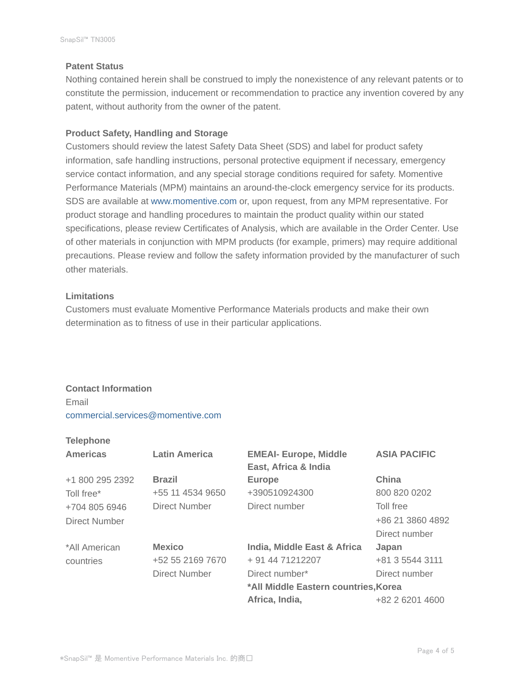# **Patent Status**

Nothing contained herein shall be construed to imply the nonexistence of any relevant patents or to constitute the permission, inducement or recommendation to practice any invention covered by any patent, without authority from the owner of the patent.

# **Product Safety, Handling and Storage**

Customers should review the latest Safety Data Sheet (SDS) and label for product safety information, safe handling instructions, personal protective equipment if necessary, emergency service contact information, and any special storage conditions required for safety. Momentive Performance Materials (MPM) maintains an around-the-clock emergency service for its products. SDS are available at www.momentive.com or, upon request, from any MPM representative. For product storage and handling procedures to maintain the product quality within our stated specifications, please review Certificates of Analysis, which are available in the Order Center. Use of other materials in conjunction with MPM products (for example, primers) may require additional precautions. Please review and follow the safety information provided by the manufacturer of such other materials.

# **Limitations**

Customers must evaluate Momentive Performance Materials products and make their own determination as to fitness of use in their particular applications.

# **Contact Information** Email commercial.services@momentive.com

# **Telephone**

| <b>Americas</b> | <b>Latin America</b> | <b>EMEAI- Europe, Middle</b><br>East, Africa & India | <b>ASIA PACIFIC</b> |
|-----------------|----------------------|------------------------------------------------------|---------------------|
| +1 800 295 2392 | <b>Brazil</b>        | <b>Europe</b>                                        | China               |
| Toll free*      | +55 11 4534 9650     | +390510924300                                        | 800 820 0202        |
| +704 805 6946   | Direct Number        | Direct number                                        | Toll free           |
| Direct Number   |                      |                                                      | +86 21 3860 4892    |
|                 |                      |                                                      | Direct number       |
| *All American   | <b>Mexico</b>        | India, Middle East & Africa                          | Japan               |
| countries       | +52 55 2169 7670     | + 91 44 71212207                                     | +81 3 5544 3111     |
|                 | Direct Number        | Direct number*                                       | Direct number       |
|                 |                      | *All Middle Eastern countries, Korea                 |                     |
|                 |                      | Africa, India,                                       | +82 2 6201 4600     |